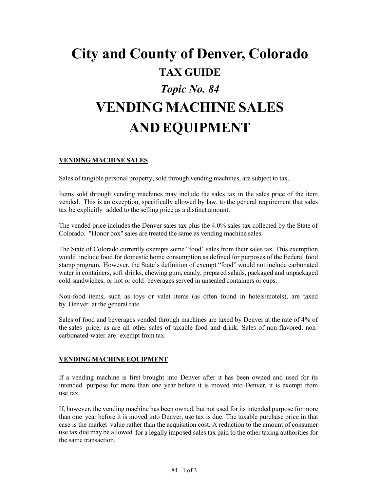# **City and County of Denver, Colorado TAX GUIDE** *Topic No. 84* **VENDING MACHINE SALES AND EQUIPMENT**

## **VENDING MACHINE SALES**

Sales of tangible personal property, sold through vending machines, are subject to tax.

Items sold through vending machines may include the sales tax in the sales price of the item vended. This is an exception, specifically allowed by law, to the general requirement that sales tax be explicitly added to the selling price as a distinct amount.

The vended price includes the Denver sales tax plus the 4.0% sales tax collected by the State of Colorado. "Honor box" sales are treated the same as vending machine sales.

The State of Colorado currently exempts some "food" sales from their sales tax. This exemption would include food for domestic home consumption as defined for purposes of the Federal food stamp program. However, the State's definition of exempt "food" would not include carbonated water in containers, soft drinks, chewing gum, candy, prepared salads, packaged and unpackaged cold sandwiches, or hot or cold beverages served in unsealed containers or cups.

Non-food items, such as toys or valet items (as often found in hotels/motels), are taxed by Denver at the general rate.

Sales of food and beverages vended through machines are taxed by Denver at the rate of 4% of the sales price, as are all other sales of taxable food and drink. Sales of non-flavored, noncarbonated water are exempt from tax.

#### **VENDING MACHINE EQUIPMENT**

If a vending machine is first brought into Denver after it has been owned and used for its intended purpose for more than one year before it is moved into Denver, it is exempt from use tax.

If, however, the vending machine has been owned, but not used for its intended purpose for more than one year before it is moved into Denver, use tax is due. The taxable purchase price in that case is the market value rather than the acquisition cost. A reduction to the amount of consumer use tax due may be allowed for a legally imposed sales tax paid to the other taxing authorities for the same transaction.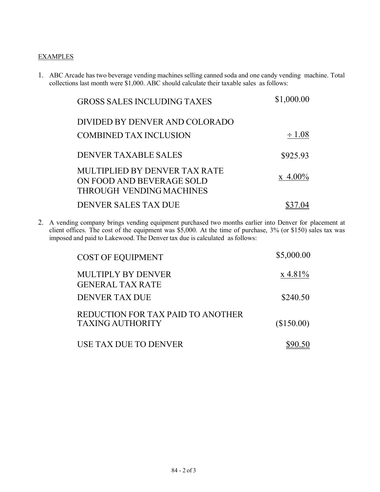## **EXAMPLES**

1. ABC Arcade has two beverage vending machines selling canned soda and one candy vending machine. Total collections last month were \$1,000. ABC should calculate their taxable sales as follows:

| <b>GROSS SALES INCLUDING TAXES</b>                                                            | \$1,000.00     |
|-----------------------------------------------------------------------------------------------|----------------|
| DIVIDED BY DENVER AND COLORADO<br>COMBINED TAX INCLUSION                                      | $\div 1.08$    |
| DENVER TAXABLE SALES                                                                          | \$925.93       |
| MULTIPLIED BY DENVER TAX RATE<br>ON FOOD AND BEVERAGE SOLD<br><b>THROUGH VENDING MACHINES</b> | $\rm x 4.00\%$ |
| DENVER SALES TAX DUE                                                                          |                |

2. A vending company brings vending equipment purchased two months earlier into Denver for placement at client offices. The cost of the equipment was \$5,000. At the time of purchase, 3% (or \$150) sales tax was imposed and paid to Lakewood. The Denver tax due is calculated as follows:

| <b>COST OF EQUIPMENT</b>                                     | \$5,000.00  |
|--------------------------------------------------------------|-------------|
| MULTIPLY BY DENVER<br><b>GENERAL TAX RATE</b>                | $x\,4.81\%$ |
| DENVER TAX DUE                                               | \$240.50    |
| REDUCTION FOR TAX PAID TO ANOTHER<br><b>TAXING AUTHORITY</b> | (\$150.00)  |
| USE TAX DUE TO DENVER                                        |             |